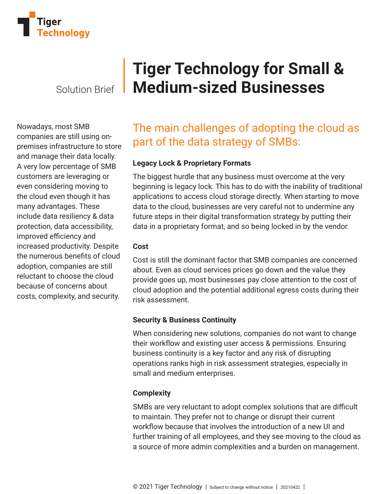

Nowadays, most SMB companies are still using onpremises infrastructure to store and manage their data locally. A very low percentage of SMB customers are leveraging or even considering moving to the cloud even though it has many advantages. These include data resiliency & data protection, data accessibility, improved efficiency and increased productivity. Despite the numerous benefits of cloud adoption, companies are still reluctant to choose the cloud because of concerns about costs, complexity, and security.

# **Tiger Technology for Small &**  Solution Brief **Medium-sized Businesses**

## The main challenges of adopting the cloud as part of the data strategy of SMBs:

#### **Legacy Lock & Proprietary Formats**

The biggest hurdle that any business must overcome at the very beginning is legacy lock. This has to do with the inability of traditional applications to access cloud storage directly. When starting to move data to the cloud, businesses are very careful not to undermine any future steps in their digital transformation strategy by putting their data in a proprietary format, and so being locked in by the vendor.

#### **Cost**

Cost is still the dominant factor that SMB companies are concerned about. Even as cloud services prices go down and the value they provide goes up, most businesses pay close attention to the cost of cloud adoption and the potential additional egress costs during their risk assessment.

#### **Security & Business Continuity**

When considering new solutions, companies do not want to change their workflow and existing user access & permissions. Ensuring business continuity is a key factor and any risk of disrupting operations ranks high in risk assessment strategies, especially in small and medium enterprises.

#### **Complexity**

SMBs are very reluctant to adopt complex solutions that are difficult to maintain. They prefer not to change or disrupt their current workflow because that involves the introduction of a new UI and further training of all employees, and they see moving to the cloud as a source of more admin complexities and a burden on management.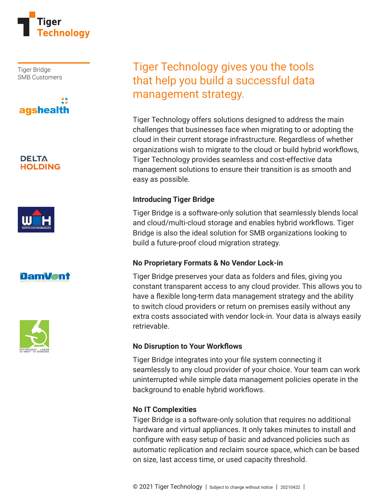

Tiger Bridge SMB Customers



#### **DELTA HOLDING**







### Tiger Technology gives you the tools that help you build a successful data management strategy.

Tiger Technology offers solutions designed to address the main challenges that businesses face when migrating to or adopting the cloud in their current storage infrastructure. Regardless of whether organizations wish to migrate to the cloud or build hybrid workflows, Tiger Technology provides seamless and cost-effective data management solutions to ensure their transition is as smooth and easy as possible.

#### **Introducing Tiger Bridge**

Tiger Bridge is a software-only solution that seamlessly blends local and cloud/multi-cloud storage and enables hybrid workflows. Tiger Bridge is also the ideal solution for SMB organizations looking to build a future-proof cloud migration strategy.

#### **No Proprietary Formats & No Vendor Lock-in**

Tiger Bridge preserves your data as folders and files, giving you constant transparent access to any cloud provider. This allows you to have a flexible long-term data management strategy and the ability to switch cloud providers or return on premises easily without any extra costs associated with vendor lock-in. Your data is always easily retrievable.

#### **No Disruption to Your Workflows**

Tiger Bridge integrates into your file system connecting it seamlessly to any cloud provider of your choice. Your team can work uninterrupted while simple data management policies operate in the background to enable hybrid workflows.

#### **No IT Complexities**

Tiger Bridge is a software-only solution that requires no additional hardware and virtual appliances. It only takes minutes to install and configure with easy setup of basic and advanced policies such as automatic replication and reclaim source space, which can be based on size, last access time, or used capacity threshold.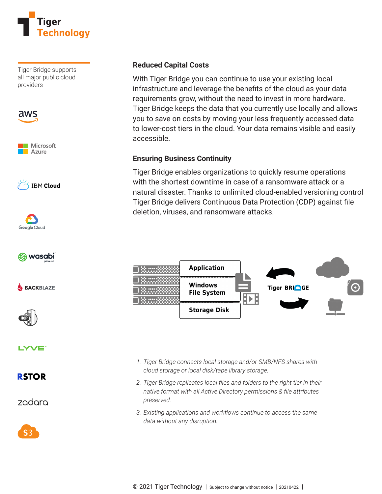

Tiger Bridge supports all major public cloud providers











**SACKBLAZE** 



LYVE<sup>®</sup>

### **RSTOR**

zadara



#### **Reduced Capital Costs**

With Tiger Bridge you can continue to use your existing local infrastructure and leverage the benefits of the cloud as your data requirements grow, without the need to invest in more hardware. Tiger Bridge keeps the data that you currently use locally and allows you to save on costs by moving your less frequently accessed data to lower-cost tiers in the cloud. Your data remains visible and easily accessible.

#### **Ensuring Business Continuity**

Tiger Bridge enables organizations to quickly resume operations with the shortest downtime in case of a ransomware attack or a natural disaster. Thanks to unlimited cloud-enabled versioning control Tiger Bridge delivers Continuous Data Protection (CDP) against file deletion, viruses, and ransomware attacks.



- *1. Tiger Bridge connects local storage and/or SMB/NFS shares with cloud storage or local disk/tape library storage.*
- 2. Tiger Bridge replicates local files and folders to the right tier in their *native format with all Active Directory permissions & file attributes preserved.*
- *3. Existing applications and workflows continue to access the same data without any disruption.*